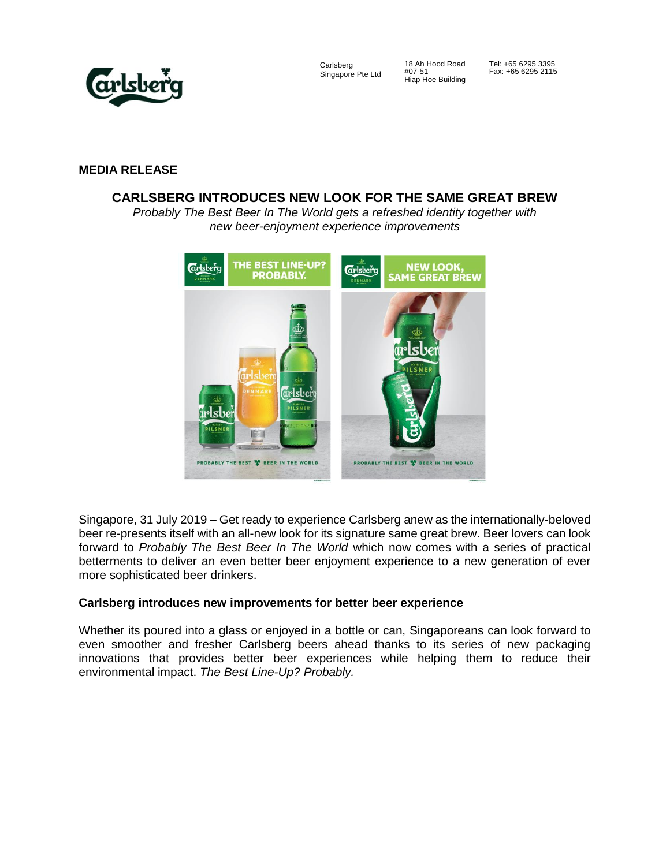

Carlsberg Singapore Pte Ltd

18 Ah Hood Road #07-51 Hiap Hoe Building

Tel: +65 6295 3395 Fax: +65 6295 2115

## **MEDIA RELEASE**

# **CARLSBERG INTRODUCES NEW LOOK FOR THE SAME GREAT BREW**

*Probably The Best Beer In The World gets a refreshed identity together with new beer-enjoyment experience improvements*



Singapore, 31 July 2019 – Get ready to experience Carlsberg anew as the internationally-beloved beer re-presents itself with an all-new look for its signature same great brew. Beer lovers can look forward to *Probably The Best Beer In The World* which now comes with a series of practical betterments to deliver an even better beer enjoyment experience to a new generation of ever more sophisticated beer drinkers.

### **Carlsberg introduces new improvements for better beer experience**

Whether its poured into a glass or enjoyed in a bottle or can, Singaporeans can look forward to even smoother and fresher Carlsberg beers ahead thanks to its series of new packaging innovations that provides better beer experiences while helping them to reduce their environmental impact. *The Best Line-Up? Probably.*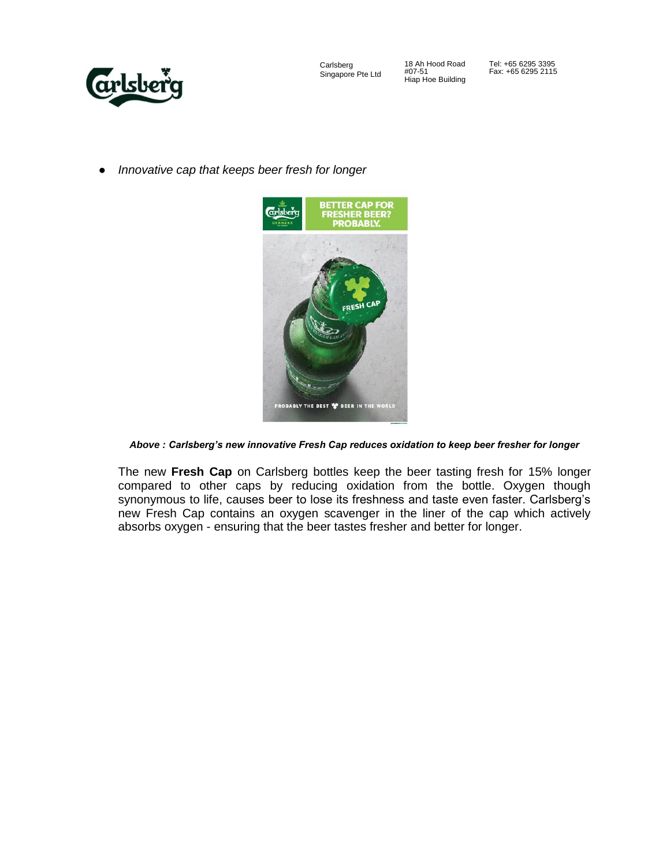

Carlsberg Singapore Pte Ltd

18 Ah Hood Road #07-51 Hiap Hoe Building

Tel: +65 6295 3395 Fax: +65 6295 2115

● *Innovative cap that keeps beer fresh for longer* 



#### *Above : Carlsberg's new innovative Fresh Cap reduces oxidation to keep beer fresher for longer*

The new **Fresh Cap** on Carlsberg bottles keep the beer tasting fresh for 15% longer compared to other caps by reducing oxidation from the bottle. Oxygen though synonymous to life, causes beer to lose its freshness and taste even faster. Carlsberg's new Fresh Cap contains an oxygen scavenger in the liner of the cap which actively absorbs oxygen - ensuring that the beer tastes fresher and better for longer.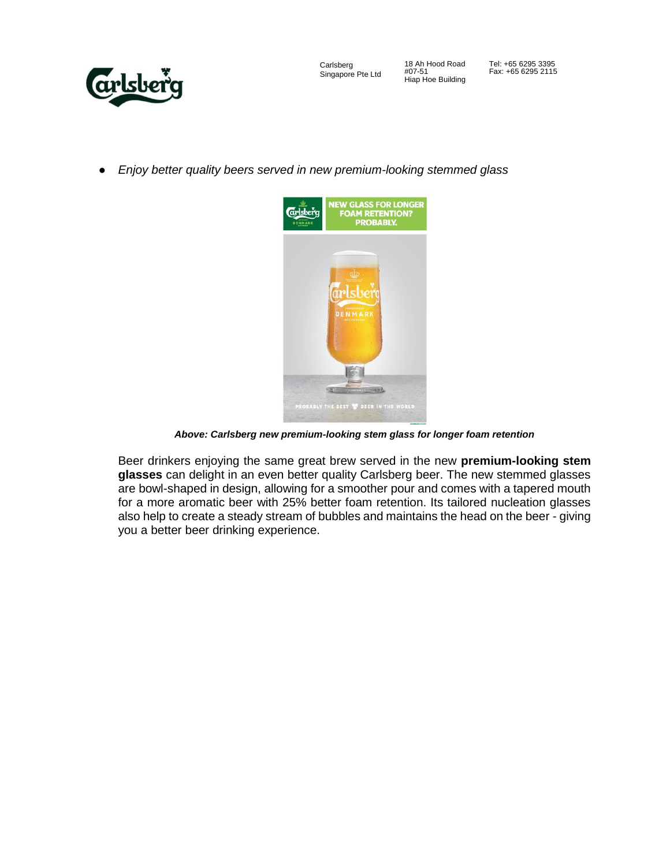

● *Enjoy better quality beers served in new premium-looking stemmed glass* 



*Above: Carlsberg new premium-looking stem glass for longer foam retention*

Beer drinkers enjoying the same great brew served in the new **premium-looking stem glasses** can delight in an even better quality Carlsberg beer. The new stemmed glasses are bowl-shaped in design, allowing for a smoother pour and comes with a tapered mouth for a more aromatic beer with 25% better foam retention. Its tailored nucleation glasses also help to create a steady stream of bubbles and maintains the head on the beer - giving you a better beer drinking experience.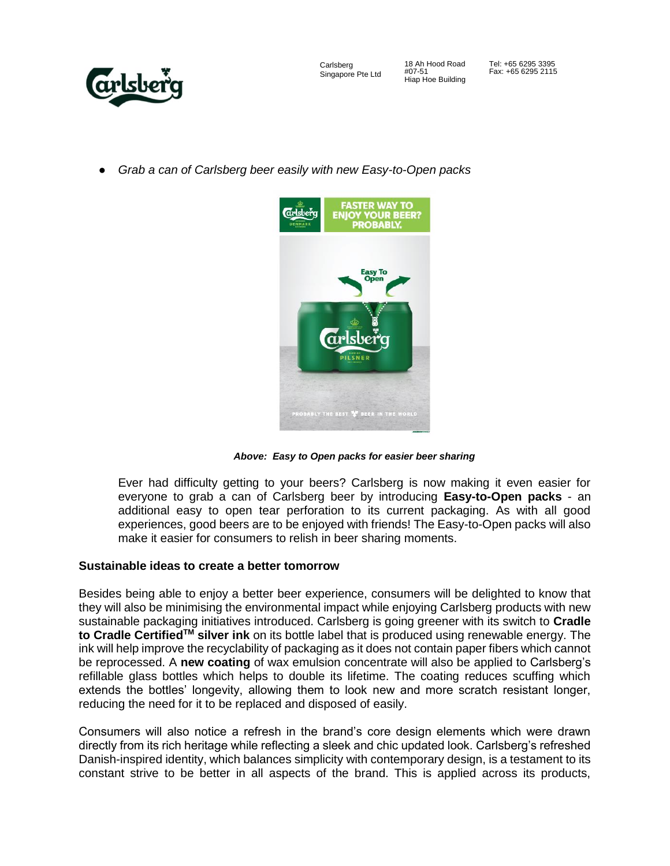

● *Grab a can of Carlsberg beer easily with new Easy-to-Open packs*



*Above: Easy to Open packs for easier beer sharing* 

Ever had difficulty getting to your beers? Carlsberg is now making it even easier for everyone to grab a can of Carlsberg beer by introducing **Easy-to-Open packs** - an additional easy to open tear perforation to its current packaging. As with all good experiences, good beers are to be enjoyed with friends! The Easy-to-Open packs will also make it easier for consumers to relish in beer sharing moments.

## **Sustainable ideas to create a better tomorrow**

Besides being able to enjoy a better beer experience, consumers will be delighted to know that they will also be minimising the environmental impact while enjoying Carlsberg products with new sustainable packaging initiatives introduced. Carlsberg is going greener with its switch to **Cradle to Cradle CertifiedTM silver ink** on its bottle label that is produced using renewable energy. The ink will help improve the recyclability of packaging as it does not contain paper fibers which cannot be reprocessed. A **new coating** of wax emulsion concentrate will also be applied to Carlsberg's refillable glass bottles which helps to double its lifetime. The coating reduces scuffing which extends the bottles' longevity, allowing them to look new and more scratch resistant longer, reducing the need for it to be replaced and disposed of easily.

Consumers will also notice a refresh in the brand's core design elements which were drawn directly from its rich heritage while reflecting a sleek and chic updated look. Carlsberg's refreshed Danish-inspired identity, which balances simplicity with contemporary design, is a testament to its constant strive to be better in all aspects of the brand. This is applied across its products,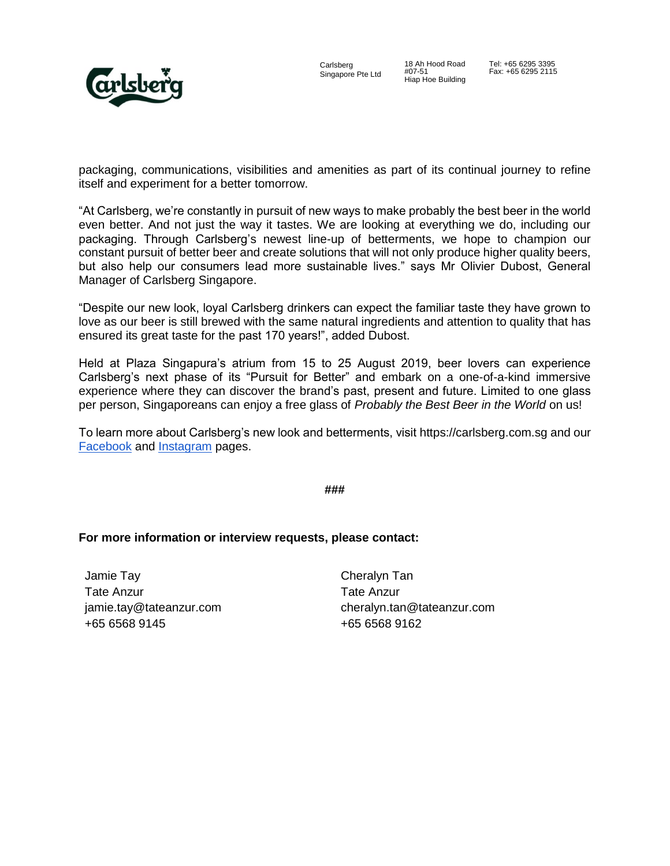Carlsberg Singapore Pte Ltd 18 Ah Hood Road

Tel: +65 6295 3395 Fax: +65 6295 2115

Hiap Hoe Building

#07-51



packaging, communications, visibilities and amenities as part of its continual journey to refine itself and experiment for a better tomorrow.

"At Carlsberg, we're constantly in pursuit of new ways to make probably the best beer in the world even better. And not just the way it tastes. We are looking at everything we do, including our packaging. Through Carlsberg's newest line-up of betterments, we hope to champion our constant pursuit of better beer and create solutions that will not only produce higher quality beers, but also help our consumers lead more sustainable lives." says Mr Olivier Dubost, General Manager of Carlsberg Singapore.

"Despite our new look, loyal Carlsberg drinkers can expect the familiar taste they have grown to love as our beer is still brewed with the same natural ingredients and attention to quality that has ensured its great taste for the past 170 years!", added Dubost.

Held at Plaza Singapura's atrium from 15 to 25 August 2019, beer lovers can experience Carlsberg's next phase of its "Pursuit for Better" and embark on a one-of-a-kind immersive experience where they can discover the brand's past, present and future. Limited to one glass per person, Singaporeans can enjoy a free glass of *Probably the Best Beer in the World* on us!

To learn more about Carlsberg's new look and betterments, visit [https://carlsberg.com.sg](http://www.carlsberg.com.sg/) and our [Facebook](https://www.facebook.com/CarlsbergSingapore) and [Instagram](https://www.instagram.com/carlsbergsg/) pages.

**###**

**For more information or interview requests, please contact:**

Jamie Tay Tate Anzur jamie.tay@tateanzur.com +65 6568 9145

Cheralyn Tan Tate Anzur cheralyn.tan@tateanzur.com +65 6568 9162